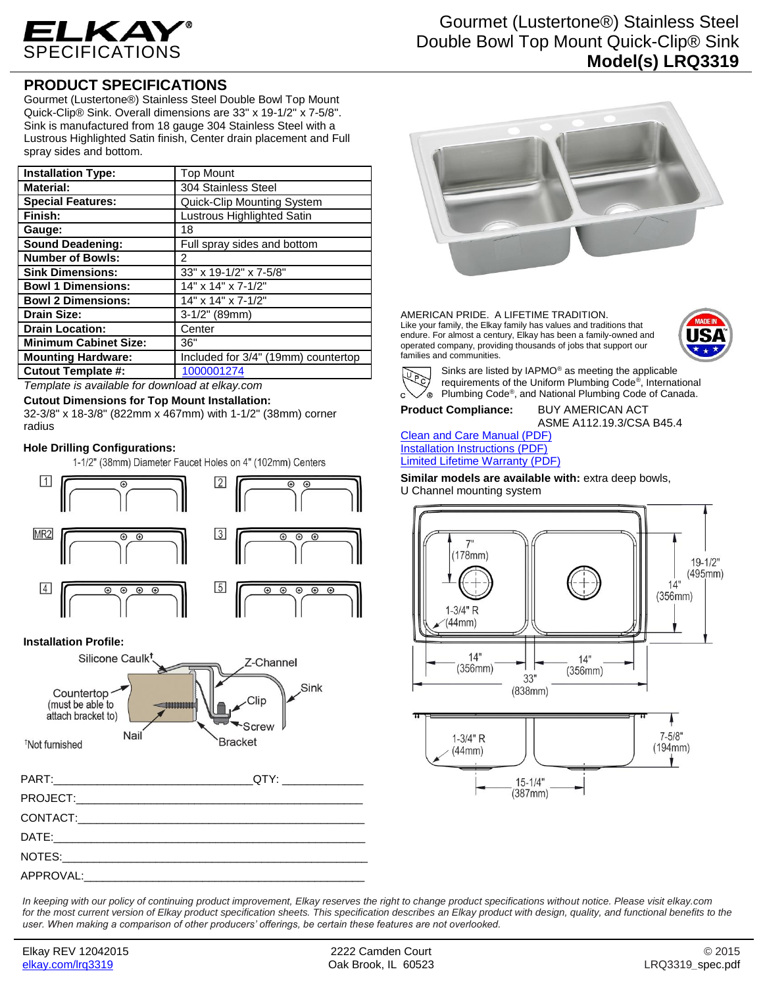

# Gourmet (Lustertone®) Stainless Steel Double Bowl Top Mount Quick-Clip® Sink **Model(s) LRQ3319**

## **PRODUCT SPECIFICATIONS**

Gourmet (Lustertone®) Stainless Steel Double Bowl Top Mount Quick-Clip® Sink. Overall dimensions are 33" x 19-1/2" x 7-5/8". Sink is manufactured from 18 gauge 304 Stainless Steel with a Lustrous Highlighted Satin finish, Center drain placement and Full spray sides and bottom.

| <b>Installation Type:</b>    | <b>Top Mount</b>                    |
|------------------------------|-------------------------------------|
| <b>Material:</b>             | 304 Stainless Steel                 |
| <b>Special Features:</b>     | <b>Quick-Clip Mounting System</b>   |
| Finish:                      | Lustrous Highlighted Satin          |
| Gauge:                       | 18                                  |
| <b>Sound Deadening:</b>      | Full spray sides and bottom         |
| <b>Number of Bowls:</b>      | 2                                   |
| <b>Sink Dimensions:</b>      | 33" x 19-1/2" x 7-5/8"              |
| <b>Bowl 1 Dimensions:</b>    | 14" x 14" x 7-1/2"                  |
| <b>Bowl 2 Dimensions:</b>    | 14" x 14" x 7-1/2"                  |
| <b>Drain Size:</b>           | $3-1/2"$ (89mm)                     |
| <b>Drain Location:</b>       | Center                              |
| <b>Minimum Cabinet Size:</b> | 36"                                 |
| <b>Mounting Hardware:</b>    | Included for 3/4" (19mm) countertop |
| <b>Cutout Template #:</b>    | 1000001274                          |

*Template is available for download at elkay.com*

**Cutout Dimensions for Top Mount Installation:**

32-3/8" x 18-3/8" (822mm x 467mm) with 1-1/2" (38mm) corner radius

#### **Hole Drilling Configurations:**

1-1/2" (38mm) Diameter Faucet Holes on 4" (102mm) Centers



#### **Installation Profile:**





AMERICAN PRIDE. A LIFETIME TRADITION. Like your family, the Elkay family has values and traditions that endure. For almost a century, Elkay has been a family-owned and operated company, providing thousands of jobs that support our families and communities.





Sinks are listed by IAPMO® as meeting the applicable requirements of the Uniform Plumbing Code® , International Plumbing Code® , and National Plumbing Code of Canada.

**Product Compliance:** BUY AMERICAN ACT

ASME A112.19.3/CSA B45.4

[Clean and Care Manual \(PDF\)](http://www.elkay.com/wcsstore/lkdocs/care-cleaning-install-warranty-sheets/residential%20and%20commercial%20care%20%20cleaning.pdf) [Installation Instructions \(PDF\)](http://www.elkay.com/wcsstore/lkdocs/care-cleaning-install-warranty-sheets/74180271.pdf) [Limited Lifetime Warranty](http://www.elkay.com/wcsstore/lkdocs/care-cleaning-install-warranty-sheets/residential%20sinks%20warranty.pdf) (PDF)

Similar models are available with: extra deep bowls, U Channel mounting system



*In keeping with our policy of continuing product improvement, Elkay reserves the right to change product specifications without notice. Please visit elkay.com*  for the most current version of Elkay product specification sheets. This specification describes an Elkay product with design, quality, and functional benefits to the *user. When making a comparison of other producers' offerings, be certain these features are not overlooked.*